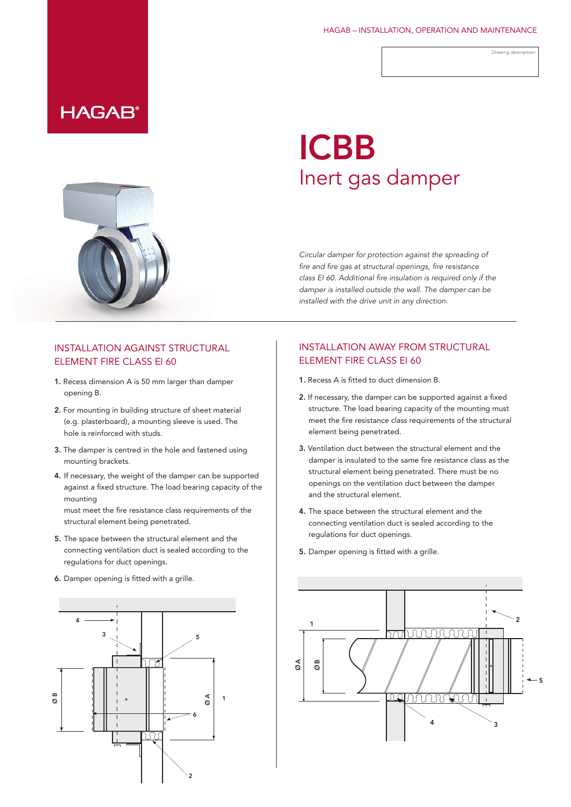#### HAGAB – INSTALLATION, OPERATION AND MAINTENANCE

*Drawing description:*

## **HAGAB®**

# ICBB Inert gas damper

*Circular damper for protection against the spreading of fire and fire gas at structural openings, fire resistance class EI 60. Additional fire insulation is required only if the damper is installed outside the wall. The damper can be installed with the drive unit in any direction.*

#### INSTALLATION AGAINST STRUCTURAL ELEMENT FIRE CLASS EI 60

- 1. Recess dimension A is 50 mm larger than damper opening B.
- 2. For mounting in building structure of sheet material (e.g. plasterboard), a mounting sleeve is used. The hole is reinforced with studs.
- 3. The damper is centred in the hole and fastened using mounting brackets.
- 4. If necessary, the weight of the damper can be supported against a fixed structure. The load bearing capacity of the mounting

must meet the fire resistance class requirements of the structural element being penetrated.

- 5. The space between the structural element and the connecting ventilation duct is sealed according to the regulations for duct openings.
- 6. Damper opening is fitted with a grille.



### INSTALLATION AWAY FROM STRUCTURAL ELEMENT FIRE CLASS EI 60

- 1. Recess A is fitted to duct dimension B.
- 2. If necessary, the damper can be supported against a fixed structure. The load bearing capacity of the mounting must meet the fire resistance class requirements of the structural element being penetrated.
- 3. Ventilation duct between the structural element and the damper is insulated to the same fire resistance class as the structural element being penetrated. There must be no openings on the ventilation duct between the damper and the structural element.
- 4. The space between the structural element and the connecting ventilation duct is sealed according to the regulations for duct openings.
- 5. Damper opening is fitted with a grille.